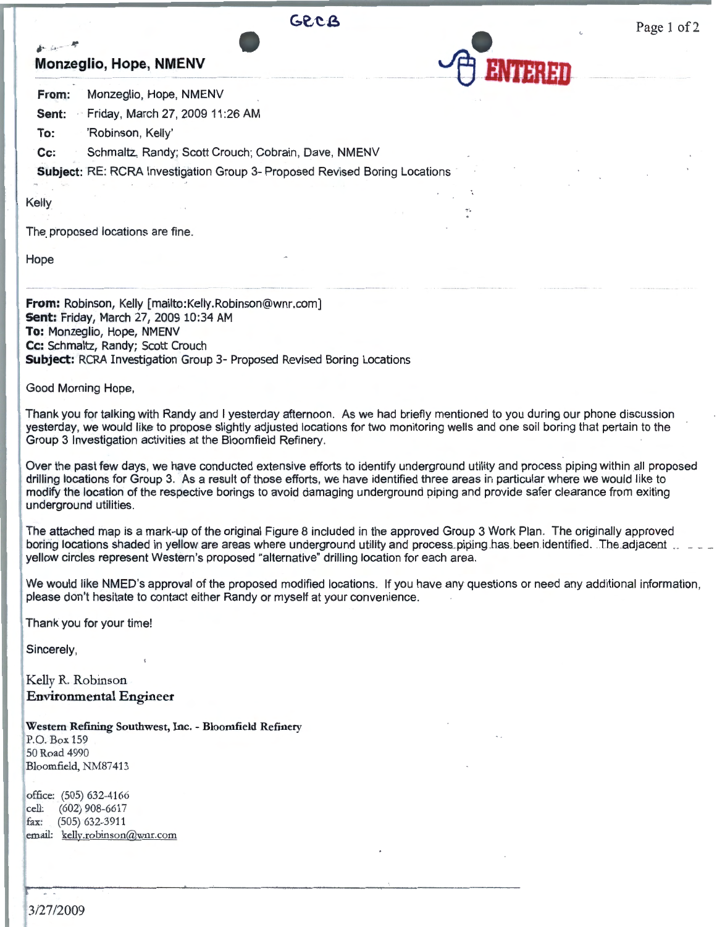

 $\tilde{\tau}$ 

Page 1 of 2

**From:** Monzeglio, Hope, NMENV

**Sent:** Friday, March 27, 2009 11 :26 AM

**To:** 'Robinson, Kelly'

**Cc:** Schmaltz, Randy; Scott Crouch; Cobrain, Dave, NMENV

**Subject:** RE: RCRA Investigation Group 3- Proposed Revised Boring Locations

Kelly

*j ·* •

The proposed locations are fine.

Hope

**From:** Robinson, Kelly [mailto:Kelly.Robinson@wnr.com] **Sent:** Friday, March 27, 2009 10:34 AM **To:** Monzeglio, Hope, NMENV **Cc:** Schmaltz, Randy; Scott Crouch **Subject:** RCRA Investigation Group 3- Proposed Revised Boring Locations

Good Morning Hope,

Thank you for talking with Randy and I yesterday afternoon. As we had briefly mentioned to you during our phone discussion yesterday, we would like to propose slightly adjusted locations for two monitoring wells and one soil boring that pertain to the Group 3 Investigation activities at the Bloomfield Refinery.

Over the past few days, we have conducted extensive efforts to identify underground utility and process piping within all proposed drilling locations for Group 3. As a result of those efforts, we have identified three areas in particular where we would like to modify the location of the respective borings to avoid damaging underground piping and provide safer clearance from exiting underground utilities.

The attached map is a mark-up of the original Figure 8 included in the approved Group 3 Work Plan. The originally approved boring locations shaded in yellow are areas where underground utility and process piping has been identified. The adjacent yellow circles represent Western's proposed "alternative" drilling location for each area.

We would like NMED's approval of the proposed modified locations. If you have any questions or need any additional information, please don't hesitate to contact either Randy or myself at your convenience.

Thank you for your time!

Sincerely,

Kelly R. Robinson **Environmental Engineer** 

**Western Refining Southwest,** Inc. - **Bloomfield Refinery** 

P.O. Box 159 50 Road 4990 Bloomfield, NM87413

office: (505) 632-4166 cell: (602) 908-6617 fax: (505) 632-3911 email: kellv.robinson@wnr.com

3/27/2009